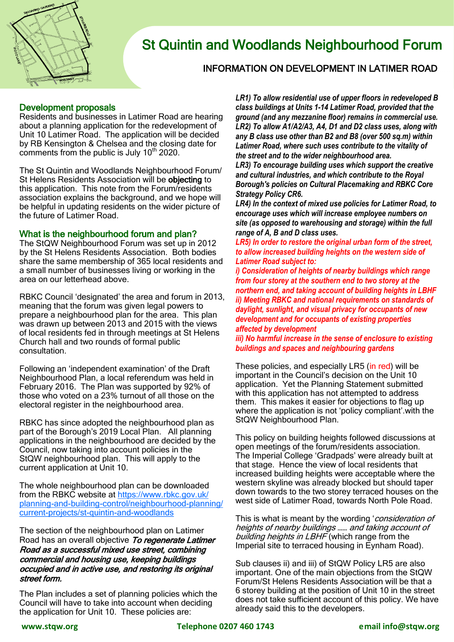

# St Quintin and Woodlands Neighbourhood Forum

## INFORMATION ON DEVELOPMENT IN LATIMER ROAD

#### Development proposals

Residents and businesses in Latimer Road are hearing about a planning application for the redevelopment of Unit 10 Latimer Road. The application will be decided by RB Kensington & Chelsea and the closing date for comments from the public is July  $10<sup>th</sup> 2020$ .

The St Quintin and Woodlands Neighbourhood Forum/ St Helens Residents Association will be objecting to this application. This note from the Forum/residents association explains the background, and we hope will be helpful in updating residents on the wider picture of the future of Latimer Road.

#### What is the neighbourhood forum and plan?

The StQW Neighbourhood Forum was set up in 2012 by the St Helens Residents Association. Both bodies share the same membership of 365 local residents and a small number of businesses living or working in the area on our letterhead above.

RBKC Council 'designated' the area and forum in 2013, meaning that the forum was given legal powers to prepare a neighbourhood plan for the area. This plan was drawn up between 2013 and 2015 with the views of local residents fed in through meetings at St Helens Church hall and two rounds of formal public consultation.

Following an 'independent examination' of the Draft Neighbourhood Plan, a local referendum was held in February 2016. The Plan was supported by 92% of those who voted on a 23% turnout of all those on the electoral register in the neighbourhood area.

RBKC has since adopted the neighbourhood plan as part of the Borough's 2019 Local Plan. All planning applications in the neighbourhood are decided by the Council, now taking into account policies in the StQW neighbourhood plan. This will apply to the current application at Unit 10.

The whole neighbourhood plan can be downloaded from the RBKC website at [https://www.rbkc.gov.uk/](https://www.rbkc.gov.uk/planning-and-building-control/neighbourhood-planning/current-projects/st-quintin-and-woodlands) planning-and-building-[control/neighbourhood](https://www.rbkc.gov.uk/planning-and-building-control/neighbourhood-planning/current-projects/st-quintin-and-woodlands)-planning/ current-projects/st-quintin-and-[woodlands](https://www.rbkc.gov.uk/planning-and-building-control/neighbourhood-planning/current-projects/st-quintin-and-woodlands)

The section of the neighbourhood plan on Latimer Road has an overall objective To regenerate Latimer Road as a successful mixed use street, combining commercial and housing use, keeping buildings occupied and in active use, and restoring its original street form.

The Plan includes a set of planning policies which the Council will have to take into account when deciding the application for Unit 10. These policies are:

*LR1) To allow residential use of upper floors in redeveloped B class buildings at Units 1-14 Latimer Road, provided that the ground (and any mezzanine floor) remains in commercial use. LR2) To allow A1/A2/A3, A4, D1 and D2 class uses, along with any B class use other than B2 and B8 (over 500 sq.m) within Latimer Road, where such uses contribute to the vitality of the street and to the wider neighbourhood area.* 

*LR3) To encourage building uses which support the creative and cultural industries, and which contribute to the Royal Borough's policies on Cultural Placemaking and RBKC Core Strategy Policy CR6.* 

*LR4) In the context of mixed use policies for Latimer Road, to encourage uses which will increase employee numbers on site (as opposed to warehousing and storage) within the full range of A, B and D class uses.* 

*LR5) In order to restore the original urban form of the street, to allow increased building heights on the western side of Latimer Road subject to:* 

*i) Consideration of heights of nearby buildings which range from four storey at the southern end to two storey at the northern end, and taking account of building heights in LBHF ii) Meeting RBKC and national requirements on standards of daylight, sunlight, and visual privacy for occupants of new development and for occupants of existing properties affected by development* 

*iii) No harmful increase in the sense of enclosure to existing buildings and spaces and neighbouring gardens* 

These policies, and especially LR5 (in red) will be important in the Council's decision on the Unit 10 application. Yet the Planning Statement submitted with this application has not attempted to address them. This makes it easier for objections to flag up where the application is not 'policy compliant'.with the StQW Neighbourhood Plan.

This policy on building heights followed discussions at open meetings of the forum/residents association. The Imperial College 'Gradpads' were already built at that stage. Hence the view of local residents that increased building heights were acceptable where the western skyline was already blocked but should taper down towards to the two storey terraced houses on the west side of Latimer Road, towards North Pole Road.

This is what is meant by the wording 'consideration of heights of nearby buildings …… and taking account of building heights in LBHF (which range from the Imperial site to terraced housing in Eynham Road).

Sub clauses ii) and iii) of StQW Policy LR5 are also important. One of the main objections from the StQW Forum/St Helens Residents Association will be that a 6 storey building at the position of Unit 10 in the street does not take sufficient account of this policy. We have already said this to the developers.